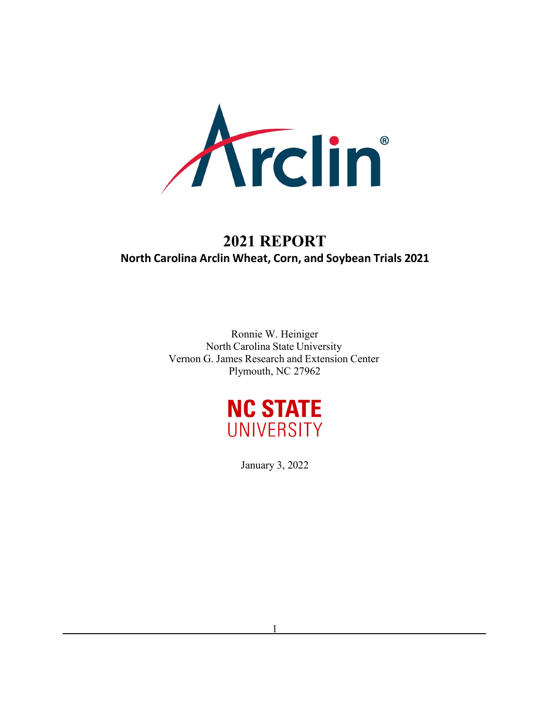

# **2021 REPORT North Carolina Arclin Wheat, Corn, and Soybean Trials 2021**

Ronnie W. Heiniger North Carolina State University Vernon G. James Research and Extension Center Plymouth, NC 27962



January 3, 2022

1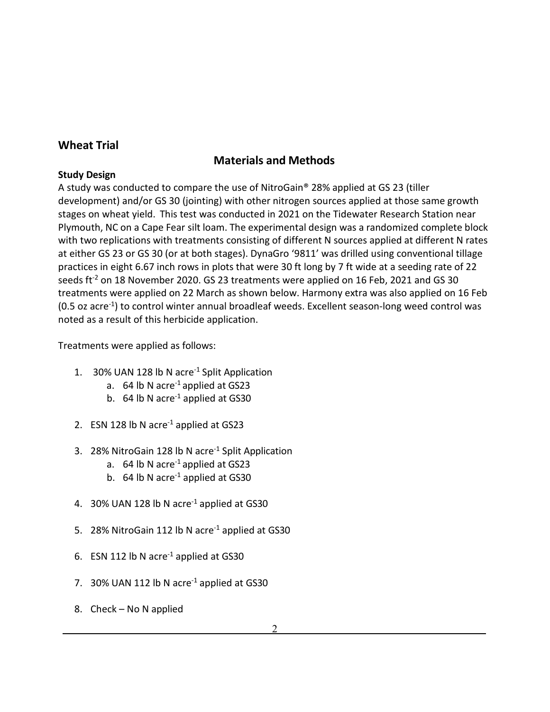# **Wheat Trial**

# **Materials and Methods**

### **Study Design**

A study was conducted to compare the use of NitroGain® 28% applied at GS 23 (tiller development) and/or GS 30 (jointing) with other nitrogen sources applied at those same growth stages on wheat yield. This test was conducted in 2021 on the Tidewater Research Station near Plymouth, NC on a Cape Fear silt loam. The experimental design was a randomized complete block with two replications with treatments consisting of different N sources applied at different N rates at either GS 23 or GS 30 (or at both stages). DynaGro '9811' was drilled using conventional tillage practices in eight 6.67 inch rows in plots that were 30 ft long by 7 ft wide at a seeding rate of 22 seeds ft<sup>-2</sup> on 18 November 2020. GS 23 treatments were applied on 16 Feb, 2021 and GS 30 treatments were applied on 22 March as shown below. Harmony extra was also applied on 16 Feb  $(0.5 \text{ oz acre}^{-1})$  to control winter annual broadleaf weeds. Excellent season-long weed control was noted as a result of this herbicide application.

Treatments were applied as follows:

- 1. 30% UAN 128 lb N acre<sup>-1</sup> Split Application
	- a.  $64$  lb N acre<sup>-1</sup> applied at GS23
	- b. 64 lb N acre<sup>-1</sup> applied at GS30
- 2. ESN 128 lb N acre<sup>-1</sup> applied at GS23
- 3. 28% NitroGain 128 lb N acre-1 Split Application
	- a.  $64$  lb N acre<sup>-1</sup> applied at GS23
	- b.  $64$  lb N acre<sup>-1</sup> applied at GS30
- 4. 30% UAN 128 lb N acre<sup>-1</sup> applied at GS30
- 5. 28% NitroGain 112 lb N acre<sup>-1</sup> applied at GS30
- 6. ESN 112 lb N acre<sup>-1</sup> applied at GS30
- 7. 30% UAN 112 lb N acre<sup>-1</sup> applied at GS30
- 8. Check No N applied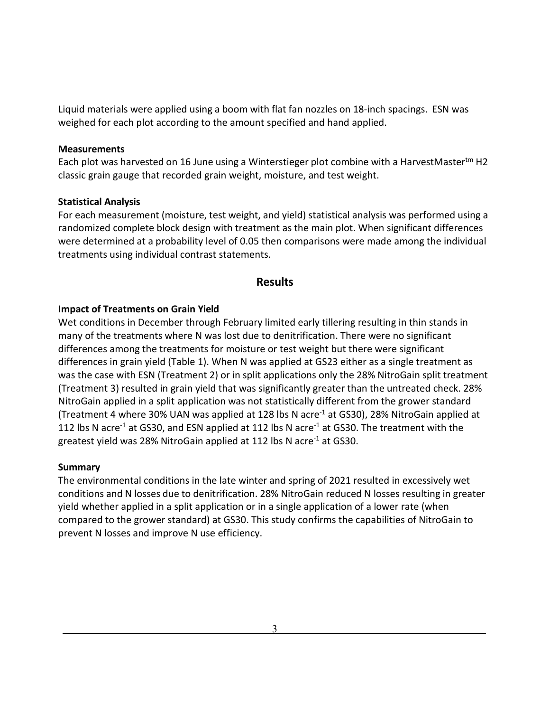Liquid materials were applied using a boom with flat fan nozzles on 18-inch spacings. ESN was weighed for each plot according to the amount specified and hand applied.

#### **Measurements**

Each plot was harvested on 16 June using a Winterstieger plot combine with a HarvestMastertm H2 classic grain gauge that recorded grain weight, moisture, and test weight.

#### **Statistical Analysis**

For each measurement (moisture, test weight, and yield) statistical analysis was performed using a randomized complete block design with treatment as the main plot. When significant differences were determined at a probability level of 0.05 then comparisons were made among the individual treatments using individual contrast statements.

### **Results**

#### **Impact of Treatments on Grain Yield**

Wet conditions in December through February limited early tillering resulting in thin stands in many of the treatments where N was lost due to denitrification. There were no significant differences among the treatments for moisture or test weight but there were significant differences in grain yield (Table 1). When N was applied at GS23 either as a single treatment as was the case with ESN (Treatment 2) or in split applications only the 28% NitroGain split treatment (Treatment 3) resulted in grain yield that was significantly greater than the untreated check. 28% NitroGain applied in a split application was not statistically different from the grower standard (Treatment 4 where 30% UAN was applied at 128 lbs N acre<sup>-1</sup> at GS30), 28% NitroGain applied at 112 lbs N acre<sup>-1</sup> at GS30, and ESN applied at 112 lbs N acre<sup>-1</sup> at GS30. The treatment with the greatest yield was 28% NitroGain applied at 112 lbs N acre<sup>-1</sup> at GS30.

#### **Summary**

The environmental conditions in the late winter and spring of 2021 resulted in excessively wet conditions and N losses due to denitrification. 28% NitroGain reduced N losses resulting in greater yield whether applied in a split application or in a single application of a lower rate (when compared to the grower standard) at GS30. This study confirms the capabilities of NitroGain to prevent N losses and improve N use efficiency.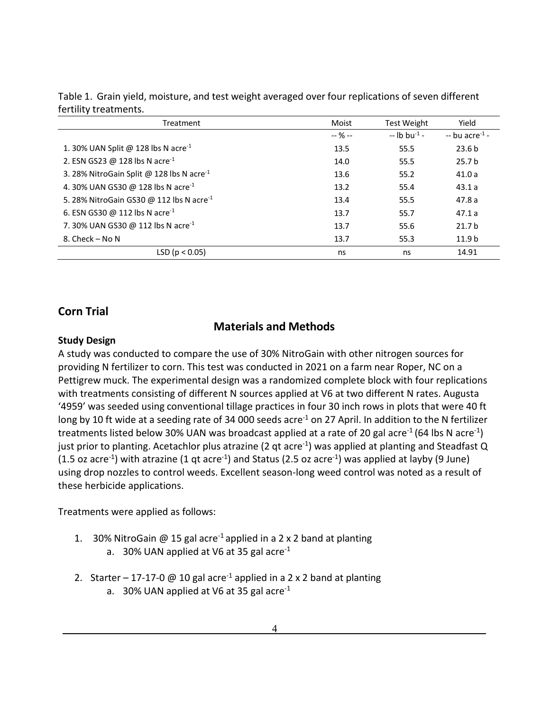| Treatment                                             | Moist     | <b>Test Weight</b>        | Yield                       |
|-------------------------------------------------------|-----------|---------------------------|-----------------------------|
|                                                       | $-$ % $-$ | $-$ lb bu <sup>-1</sup> - | $-$ bu acre <sup>-1</sup> - |
| 1. 30% UAN Split @ 128 lbs N acre <sup>-1</sup>       | 13.5      | 55.5                      | 23.6 <sub>b</sub>           |
| 2. ESN GS23 @ 128 lbs N acre <sup>-1</sup>            | 14.0      | 55.5                      | 25.7 <sub>b</sub>           |
| 3. 28% NitroGain Split @ 128 lbs N acre <sup>-1</sup> | 13.6      | 55.2                      | 41.0a                       |
| 4.30% UAN GS30 @ 128 lbs N acre <sup>-1</sup>         | 13.2      | 55.4                      | 43.1a                       |
| 5. 28% NitroGain GS30 @ 112 lbs N acre <sup>-1</sup>  | 13.4      | 55.5                      | 47.8a                       |
| 6. ESN GS30 @ 112 lbs N acre <sup>-1</sup>            | 13.7      | 55.7                      | 47.1a                       |
| 7.30% UAN GS30 @ 112 lbs N acre <sup>-1</sup>         | 13.7      | 55.6                      | 21.7 <sub>b</sub>           |
| 8. Check - No N                                       | 13.7      | 55.3                      | 11.9 <sub>b</sub>           |
| LSD ( $p < 0.05$ )                                    | ns        | ns                        | 14.91                       |

| Table 1. Grain yield, moisture, and test weight averaged over four replications of seven different |  |  |  |  |
|----------------------------------------------------------------------------------------------------|--|--|--|--|
| fertility treatments.                                                                              |  |  |  |  |

# **Corn Trial**

# **Materials and Methods**

### **Study Design**

A study was conducted to compare the use of 30% NitroGain with other nitrogen sources for providing N fertilizer to corn. This test was conducted in 2021 on a farm near Roper, NC on a Pettigrew muck. The experimental design was a randomized complete block with four replications with treatments consisting of different N sources applied at V6 at two different N rates. Augusta '4959' was seeded using conventional tillage practices in four 30 inch rows in plots that were 40 ft long by 10 ft wide at a seeding rate of 34 000 seeds acre<sup>-1</sup> on 27 April. In addition to the N fertilizer treatments listed below 30% UAN was broadcast applied at a rate of 20 gal acre<sup>-1</sup> (64 lbs N acre<sup>-1</sup>) just prior to planting. Acetachlor plus atrazine (2 qt acre<sup>-1</sup>) was applied at planting and Steadfast Q  $(1.5 \text{ oz } \text{ acre}^{-1})$  with atrazine  $(1 \text{ qt } \text{ acre}^{-1})$  and Status  $(2.5 \text{ oz } \text{ acre}^{-1})$  was applied at layby  $(9 \text{ June})$ using drop nozzles to control weeds. Excellent season-long weed control was noted as a result of these herbicide applications.

Treatments were applied as follows:

- 1. 30% NitroGain @ 15 gal acre<sup>-1</sup> applied in a 2 x 2 band at planting a. 30% UAN applied at V6 at 35 gal acre<sup>-1</sup>
	-
- 2. Starter 17-17-0 @ 10 gal acre<sup>-1</sup> applied in a 2 x 2 band at planting
	- a. 30% UAN applied at V6 at 35 gal acre<sup>-1</sup>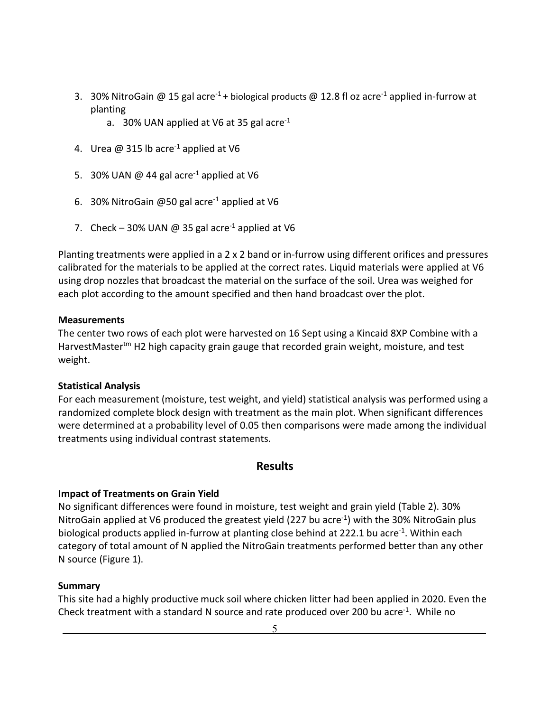- 3. 30% NitroGain @ 15 gal acre<sup>-1</sup> + biological products @ 12.8 fl oz acre<sup>-1</sup> applied in-furrow at planting
	- a. 30% UAN applied at V6 at 35 gal acre<sup>-1</sup>
- 4. Urea  $\omega$  315 lb acre<sup>-1</sup> applied at V6
- 5. 30% UAN  $\omega$  44 gal acre<sup>-1</sup> applied at V6
- 6. 30% NitroGain @50 gal acre-1 applied at V6
- 7. Check 30% UAN @ 35 gal acre<sup>-1</sup> applied at V6

Planting treatments were applied in a 2  $\times$  2 band or in-furrow using different orifices and pressures calibrated for the materials to be applied at the correct rates. Liquid materials were applied at V6 using drop nozzles that broadcast the material on the surface of the soil. Urea was weighed for each plot according to the amount specified and then hand broadcast over the plot.

### **Measurements**

The center two rows of each plot were harvested on 16 Sept using a Kincaid 8XP Combine with a HarvestMaster<sup>tm</sup> H2 high capacity grain gauge that recorded grain weight, moisture, and test weight.

### **Statistical Analysis**

For each measurement (moisture, test weight, and yield) statistical analysis was performed using a randomized complete block design with treatment as the main plot. When significant differences were determined at a probability level of 0.05 then comparisons were made among the individual treatments using individual contrast statements.

## **Results**

### **Impact of Treatments on Grain Yield**

No significant differences were found in moisture, test weight and grain yield (Table 2). 30% NitroGain applied at V6 produced the greatest yield (227 bu acre<sup>-1</sup>) with the 30% NitroGain plus biological products applied in-furrow at planting close behind at 222.1 bu acre<sup>-1</sup>. Within each category of total amount of N applied the NitroGain treatments performed better than any other N source (Figure 1).

### **Summary**

This site had a highly productive muck soil where chicken litter had been applied in 2020. Even the Check treatment with a standard N source and rate produced over 200 bu acre<sup>-1</sup>. While no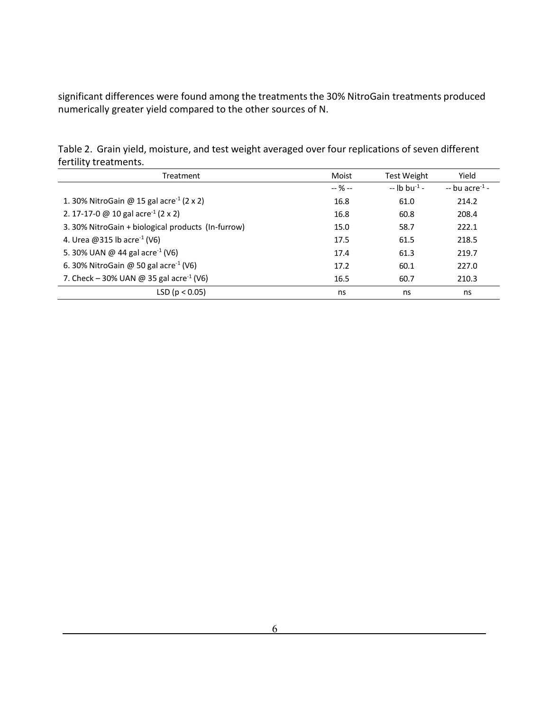significant differences were found among the treatments the 30% NitroGain treatments produced numerically greater yield compared to the other sources of N.

| <b>ICITILY LICALITICITIO.</b>                        |           |                           |                            |
|------------------------------------------------------|-----------|---------------------------|----------------------------|
| Treatment                                            | Moist     | <b>Test Weight</b>        | Yield                      |
|                                                      | $-$ % $-$ | $-$ lb bu <sup>-1</sup> - | -- bu acre <sup>-1</sup> - |
| 1. 30% NitroGain @ 15 gal acre <sup>-1</sup> (2 x 2) | 16.8      | 61.0                      | 214.2                      |
| 2. 17-17-0 @ 10 gal acre <sup>-1</sup> (2 x 2)       | 16.8      | 60.8                      | 208.4                      |
| 3. 30% NitroGain + biological products (In-furrow)   | 15.0      | 58.7                      | 222.1                      |
| 4. Urea @315 lb acre <sup>-1</sup> (V6)              | 17.5      | 61.5                      | 218.5                      |
| 5. 30% UAN @ 44 gal acre <sup>-1</sup> (V6)          | 17.4      | 61.3                      | 219.7                      |
| 6. 30% NitroGain @ 50 gal acre <sup>-1</sup> (V6)    | 17.2      | 60.1                      | 227.0                      |
| 7. Check – 30% UAN @ 35 gal acre <sup>-1</sup> (V6)  | 16.5      | 60.7                      | 210.3                      |
| LSD (p < 0.05)                                       | ns        | ns                        | ns                         |

Table 2. Grain yield, moisture, and test weight averaged over four replications of seven different fertility treatments.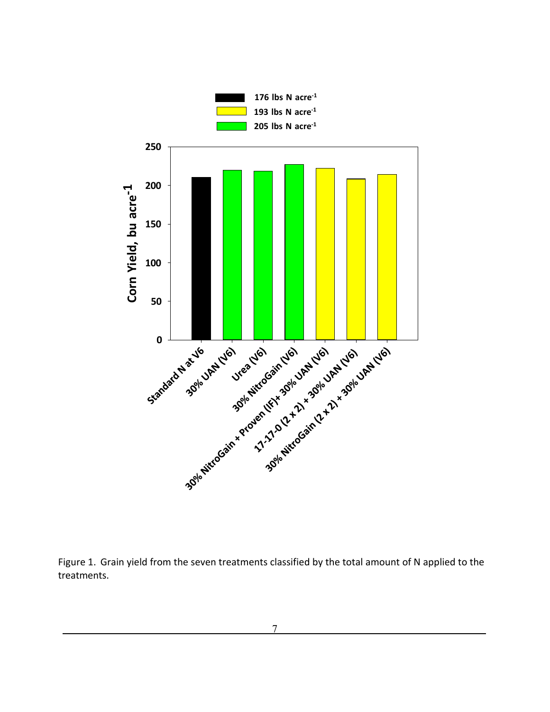

Figure 1. Grain yield from the seven treatments classified by the total amount of N applied to the treatments.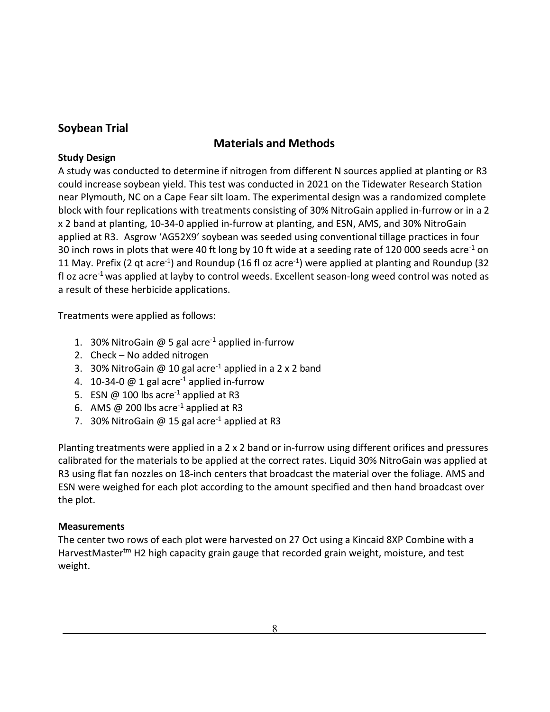# **Soybean Trial**

# **Materials and Methods**

# **Study Design**

A study was conducted to determine if nitrogen from different N sources applied at planting or R3 could increase soybean yield. This test was conducted in 2021 on the Tidewater Research Station near Plymouth, NC on a Cape Fear silt loam. The experimental design was a randomized complete block with four replications with treatments consisting of 30% NitroGain applied in-furrow or in a 2 x 2 band at planting, 10-34-0 applied in-furrow at planting, and ESN, AMS, and 30% NitroGain applied at R3. Asgrow 'AG52X9' soybean was seeded using conventional tillage practices in four 30 inch rows in plots that were 40 ft long by 10 ft wide at a seeding rate of 120 000 seeds acre<sup>-1</sup> on 11 May. Prefix (2 gt acre<sup>-1</sup>) and Roundup (16 fl oz acre<sup>-1</sup>) were applied at planting and Roundup (32 fl oz acre<sup>-1</sup> was applied at layby to control weeds. Excellent season-long weed control was noted as a result of these herbicide applications.

Treatments were applied as follows:

- 1. 30% NitroGain  $\omega$  5 gal acre<sup>-1</sup> applied in-furrow
- 2. Check No added nitrogen
- 3. 30% NitroGain @ 10 gal acre<sup>-1</sup> applied in a 2 x 2 band
- 4. 10-34-0  $@$  1 gal acre<sup>-1</sup> applied in-furrow
- 5. ESN  $@$  100 lbs acre<sup>-1</sup> applied at R3
- 6. AMS @ 200 lbs acre<sup>-1</sup> applied at R3
- 7. 30% NitroGain @ 15 gal acre<sup>-1</sup> applied at R3

Planting treatments were applied in a 2  $\times$  2 band or in-furrow using different orifices and pressures calibrated for the materials to be applied at the correct rates. Liquid 30% NitroGain was applied at R3 using flat fan nozzles on 18-inch centers that broadcast the material over the foliage. AMS and ESN were weighed for each plot according to the amount specified and then hand broadcast over the plot.

## **Measurements**

The center two rows of each plot were harvested on 27 Oct using a Kincaid 8XP Combine with a HarvestMaster<sup>tm</sup> H2 high capacity grain gauge that recorded grain weight, moisture, and test weight.